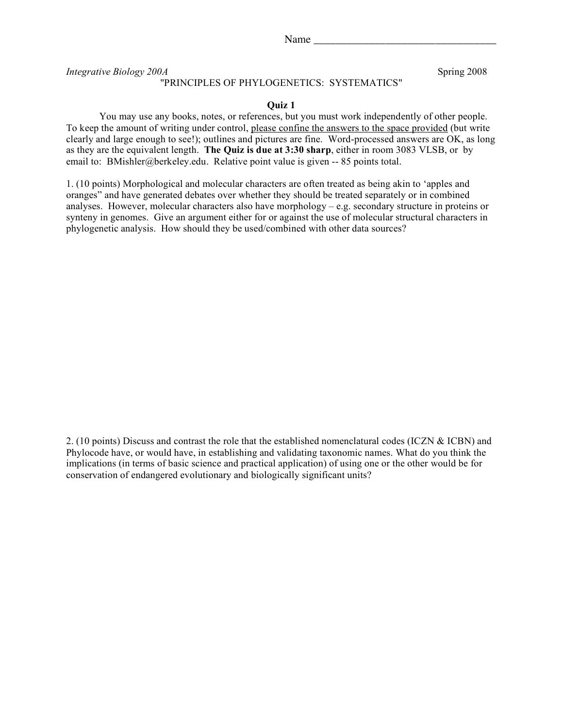Name

*Integrative Biology 200A* Spring 2008

## "PRINCIPLES OF PHYLOGENETICS: SYSTEMATICS"

**Quiz 1**

You may use any books, notes, or references, but you must work independently of other people. To keep the amount of writing under control, please confine the answers to the space provided (but write clearly and large enough to see!); outlines and pictures are fine. Word-processed answers are OK, as long as they are the equivalent length. **The Quiz is due at 3:30 sharp**, either in room 3083 VLSB, or by email to: BMishler@berkeley.edu. Relative point value is given -- 85 points total.

1. (10 points) Morphological and molecular characters are often treated as being akin to 'apples and oranges" and have generated debates over whether they should be treated separately or in combined analyses. However, molecular characters also have morphology – e.g. secondary structure in proteins or synteny in genomes. Give an argument either for or against the use of molecular structural characters in phylogenetic analysis. How should they be used/combined with other data sources?

2. (10 points) Discuss and contrast the role that the established nomenclatural codes (ICZN & ICBN) and Phylocode have, or would have, in establishing and validating taxonomic names. What do you think the implications (in terms of basic science and practical application) of using one or the other would be for conservation of endangered evolutionary and biologically significant units?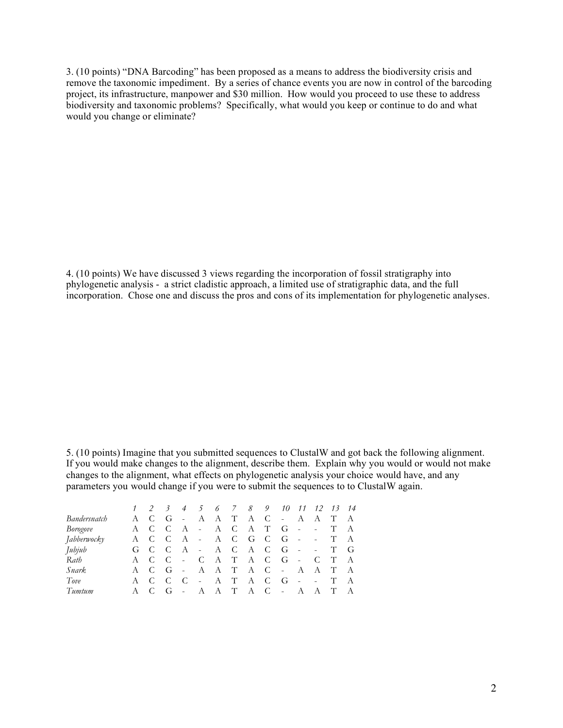3. (10 points) "DNA Barcoding" has been proposed as a means to address the biodiversity crisis and remove the taxonomic impediment. By a series of chance events you are now in control of the barcoding project, its infrastructure, manpower and \$30 million. How would you proceed to use these to address biodiversity and taxonomic problems? Specifically, what would you keep or continue to do and what would you change or eliminate?

4. (10 points) We have discussed 3 views regarding the incorporation of fossil stratigraphy into phylogenetic analysis - a strict cladistic approach, a limited use of stratigraphic data, and the full incorporation. Chose one and discuss the pros and cons of its implementation for phylogenetic analyses.

5. (10 points) Imagine that you submitted sequences to ClustalW and got back the following alignment. If you would make changes to the alignment, describe them. Explain why you would or would not make changes to the alignment, what effects on phylogenetic analysis your choice would have, and any parameters you would change if you were to submit the sequences to to ClustalW again.

|              |     | $\frac{3}{2}$ |                |         |       |     |             | 4 5 6 7 8 9 10 11 12 13 14 |            |            |     |     |
|--------------|-----|---------------|----------------|---------|-------|-----|-------------|----------------------------|------------|------------|-----|-----|
| Bandersnatch | A C | G             | $\sim$ $-$     |         | A A T |     | A C         | $\sim$ $-$                 |            | A A        | T   | A   |
| Borogove     | A C | $\mathsf{C}$  |                | A - A C |       |     | A T         | $-G -$                     |            | $\bar{a}$  | T   | A   |
| Jabberwocky  | A C | $\mathbf{C}$  |                |         |       |     | A - A C G C | $-G -$                     |            | $\sim 100$ | T   | - A |
| Jubjub       | G C | $\mathbf{C}$  |                |         |       |     |             | $A - A C A C G -$          |            | $\sim 100$ | T G |     |
| Rath         | A C | - C           | $\sim$ $-$     |         |       |     | C A T A C   | $-G -$                     |            | C          | T   | A   |
| <i>Snark</i> | A C | G             | $\sim$         |         | A A T |     | A C         | $\sim$ $-$                 | A A        |            | T   | - A |
| Tove         | A C | - C           | $\overline{C}$ | $\sim$  |       | A T | A C         | - G                        | $\sim$ $-$ | $\sim 100$ | T   | A   |
| Tumtum       | A C | G             | $\sim$         |         | A A T |     | A C         | $\sim$                     | A          | A          | T   | A   |